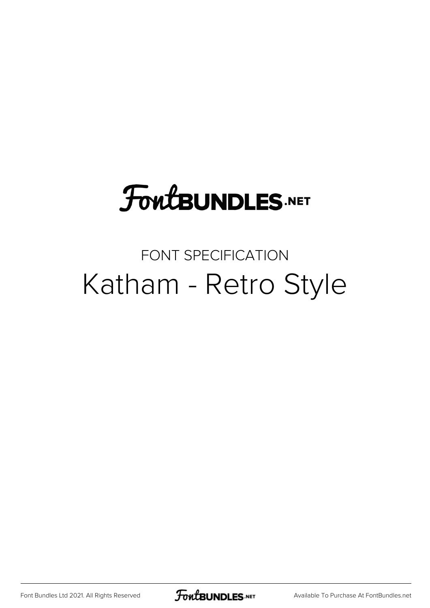#### **FoutBUNDLES.NET**

#### FONT SPECIFICATION Katham - Retro Style

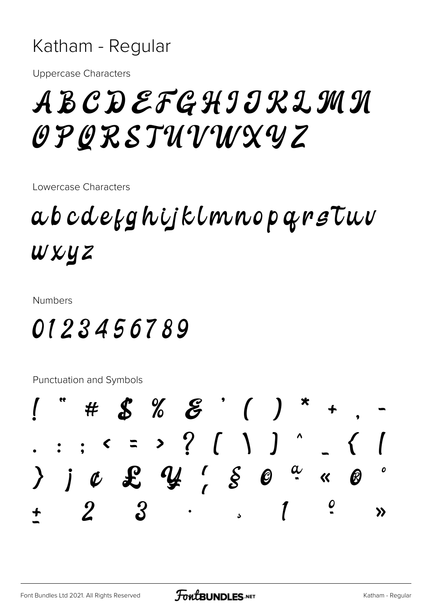#### Katham - Regular

**Uppercase Characters** 

#### ABCDEFGHIIKLMN OPORSTUVWXYZ

Lowercase Characters

#### a b c d e f g h i j k l m n o p q r s T u v wxyz

**Numbers** 

#### 0123456789

Punctuation and Symbols

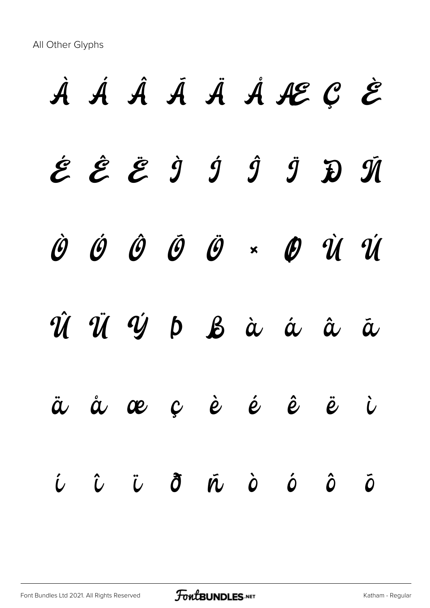All Other Glyphs

# À Á Â Ã Ä Å Æ Ç È É Ê Ë Ì Í Î Ï Ð Ñ Ò Ó Ô Õ Ö × Ø Ù Ú Û Ü Ý Þ ß à á â ã ä å æ ç è é ê ë ì í î ï ð ñ ò ó ô õ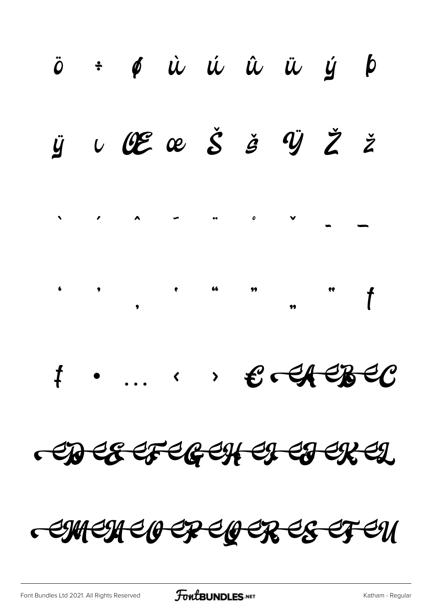

FEU  $\mathcal{E}$ OER  $\bm{\theta}$ EP C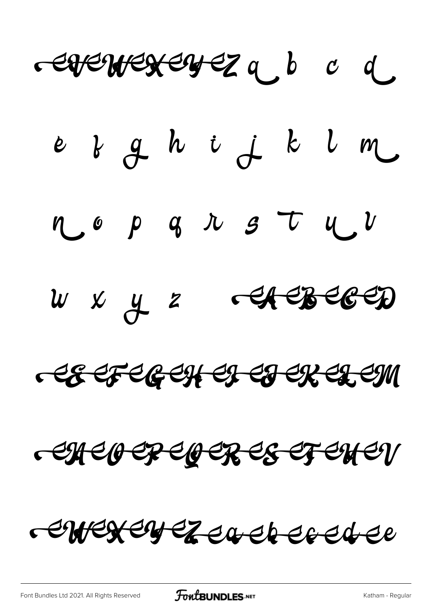carenceren eza d e d g h i j k l m  $\eta$  op q  $\eta$  s  $\tau$   $\eta$   $\nu$  $w$   $x$   $y$   $z$   $\rightarrow$   $\rightarrow$   $\rightarrow$   $\rightarrow$   $\rightarrow$ CECFCECHEL CHERCHEM CHEOEPEOERES ET ENEV erregeyezea et eredee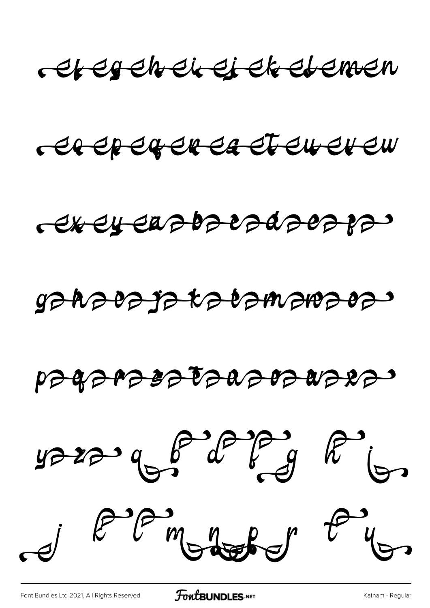

er eper er er er er er en

# gahaea ja talamarraes